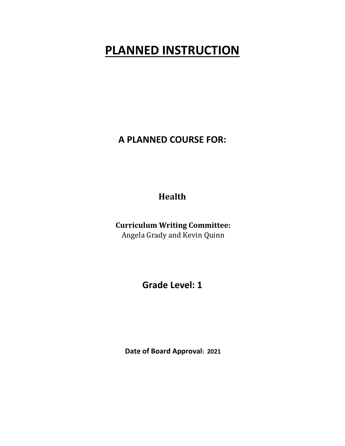# **PLANNED INSTRUCTION**

**A PLANNED COURSE FOR:** 

**Health**

**Curriculum Writing Committee:** Angela Grady and Kevin Quinn

**Grade Level: 1** 

 **Date of Board Approval: 2021**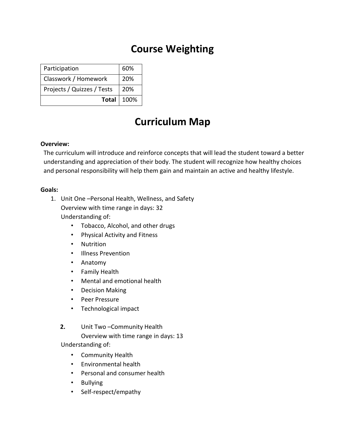# **Course Weighting**

| Participation              | 60%               |
|----------------------------|-------------------|
| Classwork / Homework       | 20%               |
| Projects / Quizzes / Tests | 20%               |
|                            | <b>Total</b> 100% |

# **Curriculum Map**

### **Overview:**

The curriculum will introduce and reinforce concepts that will lead the student toward a better understanding and appreciation of their body. The student will recognize how healthy choices and personal responsibility will help them gain and maintain an active and healthy lifestyle.

# **Goals:**

- 1. Unit One –Personal Health, Wellness, and Safety Overview with time range in days: 32 Understanding of:
	- Tobacco, Alcohol, and other drugs
	- Physical Activity and Fitness
	- Nutrition
	- Illness Prevention
	- Anatomy
	- Family Health
	- Mental and emotional health
	- Decision Making
	- Peer Pressure
	- Technological impact
	- **2.** Unit Two –Community Health

Overview with time range in days: 13

Understanding of:

- Community Health
- Environmental health
- Personal and consumer health
- Bullying
- Self-respect/empathy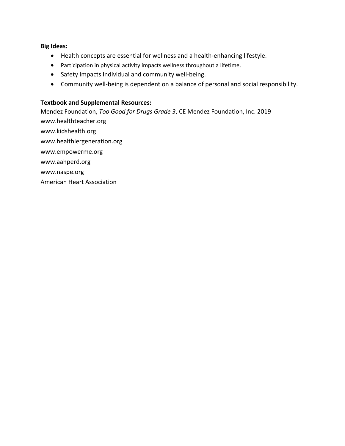#### **Big Ideas:**

- Health concepts are essential for wellness and a health-enhancing lifestyle.
- Participation in physical activity impacts wellness throughout a lifetime.
- Safety Impacts Individual and community well-being.
- Community well-being is dependent on a balance of personal and social responsibility.

#### **Textbook and Supplemental Resources:**

Mendez Foundation, *Too Good for Drugs Grade 3*, CE Mendez Foundation, Inc. 2019 www.healthteacher.org www.kidshealth.org www.healthiergeneration.org www.empowerme.org www.aahperd.org www.naspe.org American Heart Association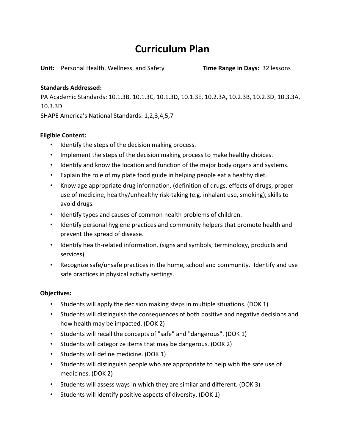# **Curriculum Plan**

**Unit:** Personal Health, Wellness, and Safety **Time Range in Days:** 32 lessons

# **Standards Addressed:**

PA Academic Standards: 10.1.3B, 10.1.3C, 10.1.3D, 10.1.3E, 10.2.3A, 10.2.3B, 10.2.3D, 10.3.3A, 10.3.3D

SHAPE America's National Standards: 1,2,3,4,5,7

# **Eligible Content:**

- Identify the steps of the decision making process.
- Implement the steps of the decision making process to make healthy choices.
- Identify and know the location and function of the major body organs and systems.
- Explain the role of my plate food guide in helping people eat a healthy diet.
- Know age appropriate drug information. (definition of drugs, effects of drugs, proper use of medicine, healthy/unhealthy risk-taking (e.g. inhalant use, smoking), skills to avoid drugs.
- Identify types and causes of common health problems of children.
- Identify personal hygiene practices and community helpers that promote health and prevent the spread of disease.
- Identify health-related information. (signs and symbols, terminology, products and services)
- Recognize safe/unsafe practices in the home, school and community. Identify and use safe practices in physical activity settings.

# **Objectives:**

- Students will apply the decision making steps in multiple situations. (DOK 1)
- Students will distinguish the consequences of both positive and negative decisions and how health may be impacted. (DOK 2)
- Students will recall the concepts of "safe" and "dangerous". (DOK 1)
- Students will categorize items that may be dangerous. (DOK 2)
- Students will define medicine. (DOK 1)
- Students will distinguish people who are appropriate to help with the safe use of medicines. (DOK 2)
- Students will assess ways in which they are similar and different. (DOK 3)
- Students will identify positive aspects of diversity. (DOK 1)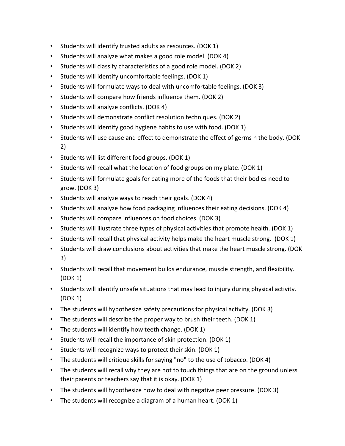- Students will identify trusted adults as resources. (DOK 1)
- Students will analyze what makes a good role model. (DOK 4)
- Students will classify characteristics of a good role model. (DOK 2)
- Students will identify uncomfortable feelings. (DOK 1)
- Students will formulate ways to deal with uncomfortable feelings. (DOK 3)
- Students will compare how friends influence them. (DOK 2)
- Students will analyze conflicts. (DOK 4)
- Students will demonstrate conflict resolution techniques. (DOK 2)
- Students will identify good hygiene habits to use with food. (DOK 1)
- Students will use cause and effect to demonstrate the effect of germs n the body. (DOK 2)
- Students will list different food groups. (DOK 1)
- Students will recall what the location of food groups on my plate. (DOK 1)
- Students will formulate goals for eating more of the foods that their bodies need to grow. (DOK 3)
- Students will analyze ways to reach their goals. (DOK 4)
- Students will analyze how food packaging influences their eating decisions. (DOK 4)
- Students will compare influences on food choices. (DOK 3)
- Students will illustrate three types of physical activities that promote health. (DOK 1)
- Students will recall that physical activity helps make the heart muscle strong. (DOK 1)
- Students will draw conclusions about activities that make the heart muscle strong. (DOK 3)
- Students will recall that movement builds endurance, muscle strength, and flexibility. (DOK 1)
- Students will identify unsafe situations that may lead to injury during physical activity. (DOK 1)
- The students will hypothesize safety precautions for physical activity. (DOK 3)
- The students will describe the proper way to brush their teeth. (DOK 1)
- The students will identify how teeth change. (DOK 1)
- Students will recall the importance of skin protection. (DOK 1)
- Students will recognize ways to protect their skin. (DOK 1)
- The students will critique skills for saying "no" to the use of tobacco. (DOK 4)
- The students will recall why they are not to touch things that are on the ground unless their parents or teachers say that it is okay. (DOK 1)
- The students will hypothesize how to deal with negative peer pressure. (DOK 3)
- The students will recognize a diagram of a human heart. (DOK 1)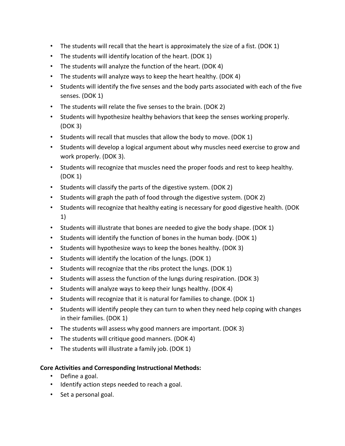- The students will recall that the heart is approximately the size of a fist. (DOK 1)
- The students will identify location of the heart. (DOK 1)
- The students will analyze the function of the heart. (DOK 4)
- The students will analyze ways to keep the heart healthy. (DOK 4)
- Students will identify the five senses and the body parts associated with each of the five senses. (DOK 1)
- The students will relate the five senses to the brain. (DOK 2)
- Students will hypothesize healthy behaviors that keep the senses working properly. (DOK 3)
- Students will recall that muscles that allow the body to move. (DOK 1)
- Students will develop a logical argument about why muscles need exercise to grow and work properly. (DOK 3).
- Students will recognize that muscles need the proper foods and rest to keep healthy. (DOK 1)
- Students will classify the parts of the digestive system. (DOK 2)
- Students will graph the path of food through the digestive system. (DOK 2)
- Students will recognize that healthy eating is necessary for good digestive health. (DOK 1)
- Students will illustrate that bones are needed to give the body shape. (DOK 1)
- Students will identify the function of bones in the human body. (DOK 1)
- Students will hypothesize ways to keep the bones healthy. (DOK 3)
- Students will identify the location of the lungs. (DOK 1)
- Students will recognize that the ribs protect the lungs. (DOK 1)
- Students will assess the function of the lungs during respiration. (DOK 3)
- Students will analyze ways to keep their lungs healthy. (DOK 4)
- Students will recognize that it is natural for families to change. (DOK 1)
- Students will identify people they can turn to when they need help coping with changes in their families. (DOK 1)
- The students will assess why good manners are important. (DOK 3)
- The students will critique good manners. (DOK 4)
- The students will illustrate a family job. (DOK 1)

# **Core Activities and Corresponding Instructional Methods:**

- Define a goal.
- Identify action steps needed to reach a goal.
- Set a personal goal.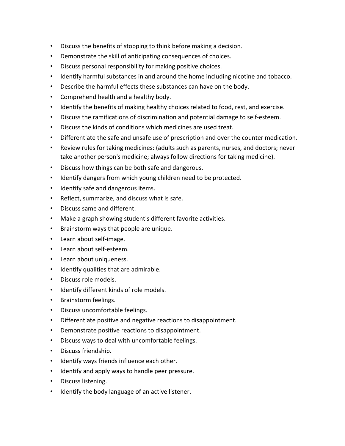- Discuss the benefits of stopping to think before making a decision.
- Demonstrate the skill of anticipating consequences of choices.
- Discuss personal responsibility for making positive choices.
- Identify harmful substances in and around the home including nicotine and tobacco.
- Describe the harmful effects these substances can have on the body.
- Comprehend health and a healthy body.
- Identify the benefits of making healthy choices related to food, rest, and exercise.
- Discuss the ramifications of discrimination and potential damage to self-esteem.
- Discuss the kinds of conditions which medicines are used treat.
- Differentiate the safe and unsafe use of prescription and over the counter medication.
- Review rules for taking medicines: (adults such as parents, nurses, and doctors; never take another person's medicine; always follow directions for taking medicine).
- Discuss how things can be both safe and dangerous.
- Identify dangers from which young children need to be protected.
- Identify safe and dangerous items.
- Reflect, summarize, and discuss what is safe.
- Discuss same and different.
- Make a graph showing student's different favorite activities.
- Brainstorm ways that people are unique.
- Learn about self-image.
- Learn about self-esteem.
- Learn about uniqueness.
- Identify qualities that are admirable.
- Discuss role models.
- Identify different kinds of role models.
- Brainstorm feelings.
- Discuss uncomfortable feelings.
- Differentiate positive and negative reactions to disappointment.
- Demonstrate positive reactions to disappointment.
- Discuss ways to deal with uncomfortable feelings.
- Discuss friendship.
- Identify ways friends influence each other.
- Identify and apply ways to handle peer pressure.
- Discuss listening.
- Identify the body language of an active listener.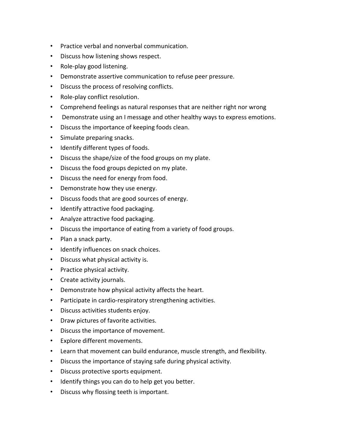- Practice verbal and nonverbal communication.
- Discuss how listening shows respect.
- Role-play good listening.
- Demonstrate assertive communication to refuse peer pressure.
- Discuss the process of resolving conflicts.
- Role-play conflict resolution.
- Comprehend feelings as natural responses that are neither right nor wrong
- Demonstrate using an I message and other healthy ways to express emotions.
- Discuss the importance of keeping foods clean.
- Simulate preparing snacks.
- Identify different types of foods.
- Discuss the shape/size of the food groups on my plate.
- Discuss the food groups depicted on my plate.
- Discuss the need for energy from food.
- Demonstrate how they use energy.
- Discuss foods that are good sources of energy.
- Identify attractive food packaging.
- Analyze attractive food packaging.
- Discuss the importance of eating from a variety of food groups.
- Plan a snack party.
- Identify influences on snack choices.
- Discuss what physical activity is.
- Practice physical activity.
- Create activity journals.
- Demonstrate how physical activity affects the heart.
- Participate in cardio-respiratory strengthening activities.
- Discuss activities students enjoy.
- Draw pictures of favorite activities.
- Discuss the importance of movement.
- Explore different movements.
- Learn that movement can build endurance, muscle strength, and flexibility.
- Discuss the importance of staying safe during physical activity.
- Discuss protective sports equipment.
- Identify things you can do to help get you better.
- Discuss why flossing teeth is important.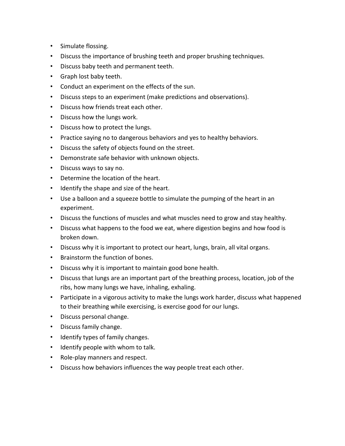- Simulate flossing.
- Discuss the importance of brushing teeth and proper brushing techniques.
- Discuss baby teeth and permanent teeth.
- Graph lost baby teeth.
- Conduct an experiment on the effects of the sun.
- Discuss steps to an experiment (make predictions and observations).
- Discuss how friends treat each other.
- Discuss how the lungs work.
- Discuss how to protect the lungs.
- Practice saying no to dangerous behaviors and yes to healthy behaviors.
- Discuss the safety of objects found on the street.
- Demonstrate safe behavior with unknown objects.
- Discuss ways to say no.
- Determine the location of the heart.
- Identify the shape and size of the heart.
- Use a balloon and a squeeze bottle to simulate the pumping of the heart in an experiment.
- Discuss the functions of muscles and what muscles need to grow and stay healthy.
- Discuss what happens to the food we eat, where digestion begins and how food is broken down.
- Discuss why it is important to protect our heart, lungs, brain, all vital organs.
- Brainstorm the function of bones.
- Discuss why it is important to maintain good bone health.
- Discuss that lungs are an important part of the breathing process, location, job of the ribs, how many lungs we have, inhaling, exhaling.
- Participate in a vigorous activity to make the lungs work harder, discuss what happened to their breathing while exercising, is exercise good for our lungs.
- Discuss personal change.
- Discuss family change.
- Identify types of family changes.
- Identify people with whom to talk.
- Role-play manners and respect.
- Discuss how behaviors influences the way people treat each other.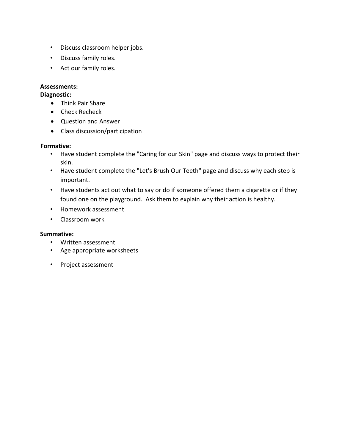- Discuss classroom helper jobs.
- Discuss family roles.
- Act our family roles.

# **Assessments:**

# **Diagnostic:**

- Think Pair Share
- Check Recheck
- Question and Answer
- Class discussion/participation

# **Formative:**

- Have student complete the "Caring for our Skin" page and discuss ways to protect their skin.
- Have student complete the "Let's Brush Our Teeth" page and discuss why each step is important.
- Have students act out what to say or do if someone offered them a cigarette or if they found one on the playground. Ask them to explain why their action is healthy.
- Homework assessment
- Classroom work

### **Summative:**

- Written assessment
- Age appropriate worksheets
- Project assessment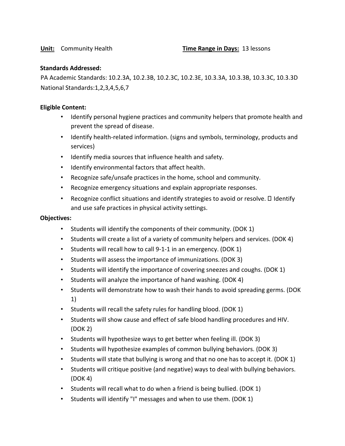### **Standards Addressed:**

PA Academic Standards: 10.2.3A, 10.2.3B, 10.2.3C, 10.2.3E, 10.3.3A, 10.3.3B, 10.3.3C, 10.3.3D National Standards:1,2,3,4,5,6,7

#### **Eligible Content:**

- Identify personal hygiene practices and community helpers that promote health and prevent the spread of disease.
- Identify health-related information. (signs and symbols, terminology, products and services)
- Identify media sources that influence health and safety.
- Identify environmental factors that affect health.
- Recognize safe/unsafe practices in the home, school and community.
- Recognize emergency situations and explain appropriate responses.
- Recognize conflict situations and identify strategies to avoid or resolve.  $\Box$  Identify and use safe practices in physical activity settings.

#### **Objectives:**

- Students will identify the components of their community. (DOK 1)
- Students will create a list of a variety of community helpers and services. (DOK 4)
- Students will recall how to call 9-1-1 in an emergency. (DOK 1)
- Students will assess the importance of immunizations. (DOK 3)
- Students will identify the importance of covering sneezes and coughs. (DOK 1)
- Students will analyze the importance of hand washing. (DOK 4)
- Students will demonstrate how to wash their hands to avoid spreading germs. (DOK 1)
- Students will recall the safety rules for handling blood. (DOK 1)
- Students will show cause and effect of safe blood handling procedures and HIV. (DOK 2)
- Students will hypothesize ways to get better when feeling ill. (DOK 3)
- Students will hypothesize examples of common bullying behaviors. (DOK 3)
- Students will state that bullying is wrong and that no one has to accept it. (DOK 1)
- Students will critique positive (and negative) ways to deal with bullying behaviors. (DOK 4)
- Students will recall what to do when a friend is being bullied. (DOK 1)
- Students will identify "I" messages and when to use them. (DOK 1)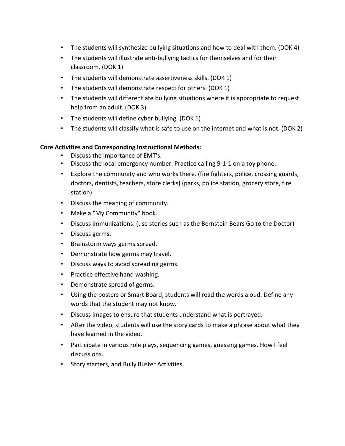- The students will synthesize bullying situations and how to deal with them. (DOK 4)
- The students will illustrate anti-bullying tactics for themselves and for their classroom. (DOK 1)
- The students will demonstrate assertiveness skills. (DOK 1)
- The students will demonstrate respect for others. (DOK 1)
- The students will differentiate bullying situations where it is appropriate to request help from an adult. (DOK 3)
- The students will define cyber bullying. (DOK 1)
- The students will classify what is safe to use on the internet and what is not. (DOK 2)

# **Core Activities and Corresponding Instructional Methods:**

- Discuss the importance of EMT's.
- Discuss the local emergency number. Practice calling 9-1-1 on a toy phone.
- Explore the community and who works there. (fire fighters, police, crossing guards, doctors, dentists, teachers, store clerks) (parks, police station, grocery store, fire station)
- Discuss the meaning of community.
- Make a "My Community" book.
- Discuss immunizations. (use stories such as the Bernstein Bears Go to the Doctor)
- Discuss germs.
- Brainstorm ways germs spread.
- Demonstrate how germs may travel.
- Discuss ways to avoid spreading germs.
- Practice effective hand washing.
- Demonstrate spread of germs.
- Using the posters or Smart Board, students will read the words aloud. Define any words that the student may not know.
- Discuss images to ensure that students understand what is portrayed.
- After the video, students will use the story cards to make a phrase about what they have learned in the video.
- Participate in various role plays, sequencing games, guessing games. How I feel discussions.
- Story starters, and Bully Buster Activities.